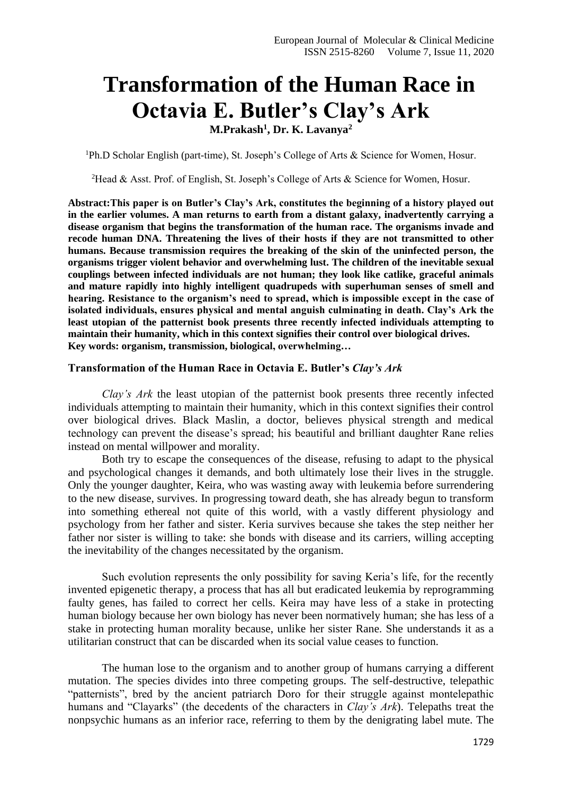## **Transformation of the Human Race in Octavia E. Butler's Clay's Ark**

**M.Prakash<sup>1</sup> , Dr. K. Lavanya<sup>2</sup>**

<sup>1</sup>Ph.D Scholar English (part-time), St. Joseph's College of Arts & Science for Women, Hosur.

<sup>2</sup>Head & Asst. Prof. of English, St. Joseph's College of Arts & Science for Women, Hosur.

**Abstract:This paper is on Butler's Clay's Ark, constitutes the beginning of a history played out in the earlier volumes. A man returns to earth from a distant galaxy, inadvertently carrying a disease organism that begins the transformation of the human race. The organisms invade and recode human DNA. Threatening the lives of their hosts if they are not transmitted to other humans. Because transmission requires the breaking of the skin of the uninfected person, the organisms trigger violent behavior and overwhelming lust. The children of the inevitable sexual couplings between infected individuals are not human; they look like catlike, graceful animals and mature rapidly into highly intelligent quadrupeds with superhuman senses of smell and hearing. Resistance to the organism's need to spread, which is impossible except in the case of isolated individuals, ensures physical and mental anguish culminating in death. Clay's Ark the least utopian of the patternist book presents three recently infected individuals attempting to maintain their humanity, which in this context signifies their control over biological drives. Key words: organism, transmission, biological, overwhelming…**

## **Transformation of the Human Race in Octavia E. Butler's** *Clay's Ark*

*Clay's Ark* the least utopian of the patternist book presents three recently infected individuals attempting to maintain their humanity, which in this context signifies their control over biological drives. Black Maslin, a doctor, believes physical strength and medical technology can prevent the disease's spread; his beautiful and brilliant daughter Rane relies instead on mental willpower and morality.

Both try to escape the consequences of the disease, refusing to adapt to the physical and psychological changes it demands, and both ultimately lose their lives in the struggle. Only the younger daughter, Keira, who was wasting away with leukemia before surrendering to the new disease, survives. In progressing toward death, she has already begun to transform into something ethereal not quite of this world, with a vastly different physiology and psychology from her father and sister. Keria survives because she takes the step neither her father nor sister is willing to take: she bonds with disease and its carriers, willing accepting the inevitability of the changes necessitated by the organism.

Such evolution represents the only possibility for saving Keria's life, for the recently invented epigenetic therapy, a process that has all but eradicated leukemia by reprogramming faulty genes, has failed to correct her cells. Keira may have less of a stake in protecting human biology because her own biology has never been normatively human; she has less of a stake in protecting human morality because, unlike her sister Rane. She understands it as a utilitarian construct that can be discarded when its social value ceases to function.

The human lose to the organism and to another group of humans carrying a different mutation. The species divides into three competing groups. The self-destructive, telepathic "patternists", bred by the ancient patriarch Doro for their struggle against montelepathic humans and "Clayarks" (the decedents of the characters in *Clay's Ark*). Telepaths treat the nonpsychic humans as an inferior race, referring to them by the denigrating label mute. The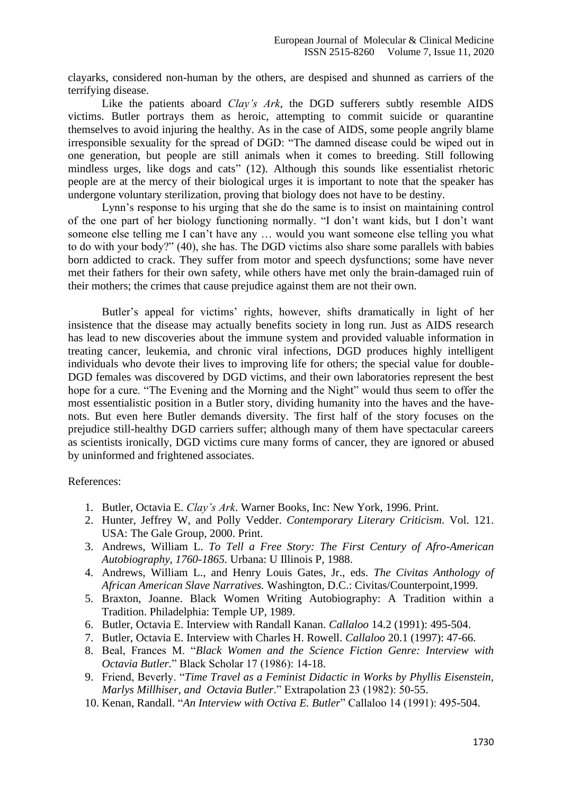clayarks, considered non-human by the others, are despised and shunned as carriers of the terrifying disease.

Like the patients aboard *Clay's Ark*, the DGD sufferers subtly resemble AIDS victims. Butler portrays them as heroic, attempting to commit suicide or quarantine themselves to avoid injuring the healthy. As in the case of AIDS, some people angrily blame irresponsible sexuality for the spread of DGD: "The damned disease could be wiped out in one generation, but people are still animals when it comes to breeding. Still following mindless urges, like dogs and cats" (12). Although this sounds like essentialist rhetoric people are at the mercy of their biological urges it is important to note that the speaker has undergone voluntary sterilization, proving that biology does not have to be destiny.

Lynn's response to his urging that she do the same is to insist on maintaining control of the one part of her biology functioning normally. "I don't want kids, but I don't want someone else telling me I can't have any … would you want someone else telling you what to do with your body?" (40), she has. The DGD victims also share some parallels with babies born addicted to crack. They suffer from motor and speech dysfunctions; some have never met their fathers for their own safety, while others have met only the brain-damaged ruin of their mothers; the crimes that cause prejudice against them are not their own.

Butler's appeal for victims' rights, however, shifts dramatically in light of her insistence that the disease may actually benefits society in long run. Just as AIDS research has lead to new discoveries about the immune system and provided valuable information in treating cancer, leukemia, and chronic viral infections, DGD produces highly intelligent individuals who devote their lives to improving life for others; the special value for double-DGD females was discovered by DGD victims, and their own laboratories represent the best hope for a cure. "The Evening and the Morning and the Night" would thus seem to offer the most essentialistic position in a Butler story, dividing humanity into the haves and the havenots. But even here Butler demands diversity. The first half of the story focuses on the prejudice still-healthy DGD carriers suffer; although many of them have spectacular careers as scientists ironically, DGD victims cure many forms of cancer, they are ignored or abused by uninformed and frightened associates.

## References:

- 1. Butler, Octavia E. *Clay's Ark*. Warner Books, Inc: New York, 1996. Print.
- 2. Hunter, Jeffrey W, and Polly Vedder. *Contemporary Literary Criticism*. Vol. 121. USA: The Gale Group, 2000. Print.
- 3. Andrews, William L. *To Tell a Free Story: The First Century of Afro-American Autobiography, 1760-1865.* Urbana: U Illinois P, 1988.
- 4. Andrews, William L., and Henry Louis Gates, Jr., eds. *The Civitas Anthology of African American Slave Narratives.* Washington, D.C.: Civitas/Counterpoint,1999.
- 5. Braxton, Joanne. Black Women Writing Autobiography: A Tradition within a Tradition. Philadelphia: Temple UP, 1989.
- 6. Butler, Octavia E. Interview with Randall Kanan. *Callaloo* 14.2 (1991): 495-504.
- 7. Butler, Octavia E. Interview with Charles H. Rowell. *Callaloo* 20.1 (1997): 47-66.
- 8. Beal, Frances M. "*Black Women and the Science Fiction Genre: Interview with Octavia Butler.*" Black Scholar 17 (1986): 14-18.
- 9. Friend, Beverly. "*Time Travel as a Feminist Didactic in Works by Phyllis Eisenstein, Marlys Millhiser, and Octavia Butler*." Extrapolation 23 (1982): 50-55.
- 10. Kenan, Randall. "*An Interview with Octiva E. Butler*" Callaloo 14 (1991): 495-504.